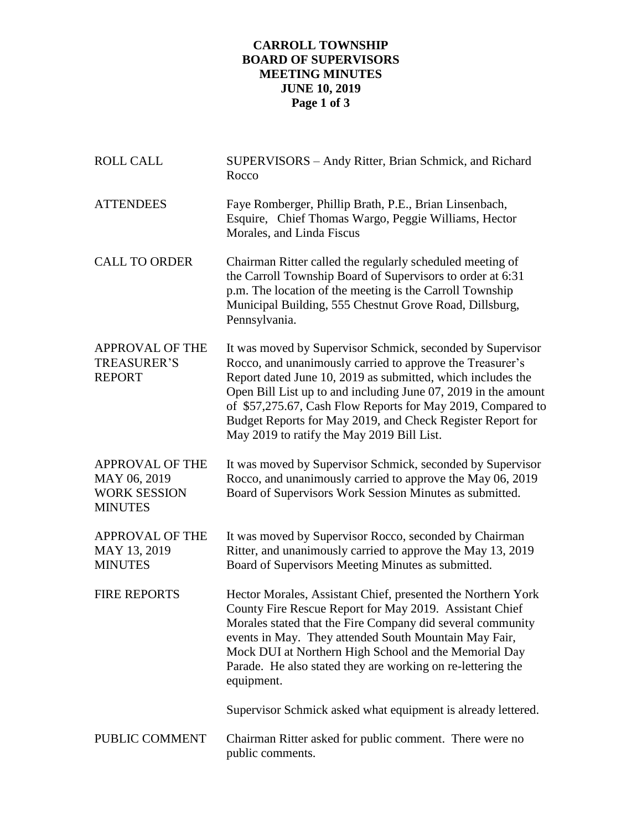## **CARROLL TOWNSHIP BOARD OF SUPERVISORS MEETING MINUTES JUNE 10, 2019 Page 1 of 3**

| <b>ROLL CALL</b>                                                                | SUPERVISORS - Andy Ritter, Brian Schmick, and Richard<br>Rocco                                                                                                                                                                                                                                                                                                                                                                      |
|---------------------------------------------------------------------------------|-------------------------------------------------------------------------------------------------------------------------------------------------------------------------------------------------------------------------------------------------------------------------------------------------------------------------------------------------------------------------------------------------------------------------------------|
| <b>ATTENDEES</b>                                                                | Faye Romberger, Phillip Brath, P.E., Brian Linsenbach,<br>Esquire, Chief Thomas Wargo, Peggie Williams, Hector<br>Morales, and Linda Fiscus                                                                                                                                                                                                                                                                                         |
| <b>CALL TO ORDER</b>                                                            | Chairman Ritter called the regularly scheduled meeting of<br>the Carroll Township Board of Supervisors to order at 6:31<br>p.m. The location of the meeting is the Carroll Township<br>Municipal Building, 555 Chestnut Grove Road, Dillsburg,<br>Pennsylvania.                                                                                                                                                                     |
| <b>APPROVAL OF THE</b><br><b>TREASURER'S</b><br><b>REPORT</b>                   | It was moved by Supervisor Schmick, seconded by Supervisor<br>Rocco, and unanimously carried to approve the Treasurer's<br>Report dated June 10, 2019 as submitted, which includes the<br>Open Bill List up to and including June 07, 2019 in the amount<br>of \$57,275.67, Cash Flow Reports for May 2019, Compared to<br>Budget Reports for May 2019, and Check Register Report for<br>May 2019 to ratify the May 2019 Bill List. |
| <b>APPROVAL OF THE</b><br>MAY 06, 2019<br><b>WORK SESSION</b><br><b>MINUTES</b> | It was moved by Supervisor Schmick, seconded by Supervisor<br>Rocco, and unanimously carried to approve the May 06, 2019<br>Board of Supervisors Work Session Minutes as submitted.                                                                                                                                                                                                                                                 |
| <b>APPROVAL OF THE</b><br>MAY 13, 2019<br><b>MINUTES</b>                        | It was moved by Supervisor Rocco, seconded by Chairman<br>Ritter, and unanimously carried to approve the May 13, 2019<br>Board of Supervisors Meeting Minutes as submitted.                                                                                                                                                                                                                                                         |
| <b>FIRE REPORTS</b>                                                             | Hector Morales, Assistant Chief, presented the Northern York<br>County Fire Rescue Report for May 2019. Assistant Chief<br>Morales stated that the Fire Company did several community<br>events in May. They attended South Mountain May Fair,<br>Mock DUI at Northern High School and the Memorial Day<br>Parade. He also stated they are working on re-lettering the<br>equipment.                                                |
|                                                                                 | Supervisor Schmick asked what equipment is already lettered.                                                                                                                                                                                                                                                                                                                                                                        |
| PUBLIC COMMENT                                                                  | Chairman Ritter asked for public comment. There were no<br>public comments.                                                                                                                                                                                                                                                                                                                                                         |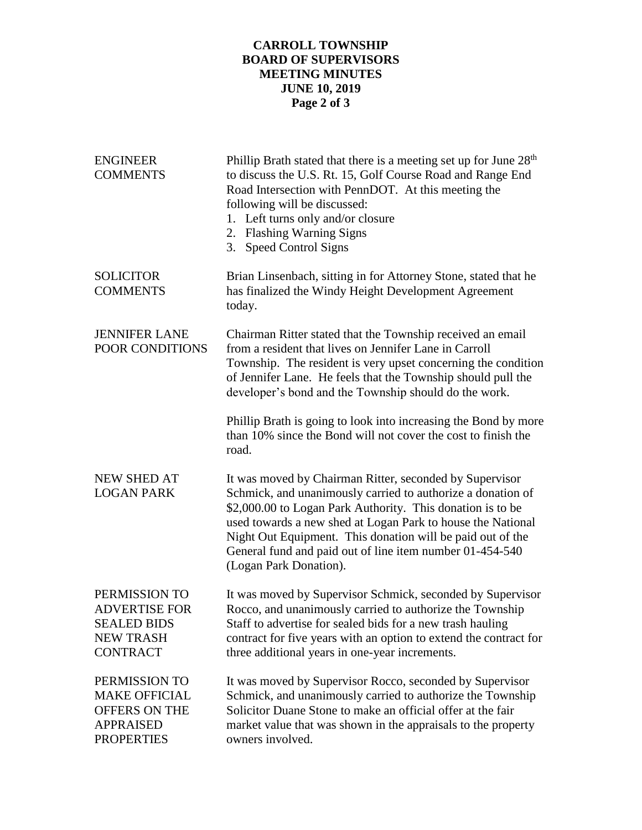## **CARROLL TOWNSHIP BOARD OF SUPERVISORS MEETING MINUTES JUNE 10, 2019 Page 2 of 3**

| <b>ENGINEER</b><br><b>COMMENTS</b>                                                                     | Phillip Brath stated that there is a meeting set up for June 28 <sup>th</sup><br>to discuss the U.S. Rt. 15, Golf Course Road and Range End<br>Road Intersection with PennDOT. At this meeting the<br>following will be discussed:<br>1. Left turns only and/or closure<br>2. Flashing Warning Signs<br>3. Speed Control Signs                                                                          |
|--------------------------------------------------------------------------------------------------------|---------------------------------------------------------------------------------------------------------------------------------------------------------------------------------------------------------------------------------------------------------------------------------------------------------------------------------------------------------------------------------------------------------|
| <b>SOLICITOR</b><br><b>COMMENTS</b>                                                                    | Brian Linsenbach, sitting in for Attorney Stone, stated that he<br>has finalized the Windy Height Development Agreement<br>today.                                                                                                                                                                                                                                                                       |
| <b>JENNIFER LANE</b><br>POOR CONDITIONS                                                                | Chairman Ritter stated that the Township received an email<br>from a resident that lives on Jennifer Lane in Carroll<br>Township. The resident is very upset concerning the condition<br>of Jennifer Lane. He feels that the Township should pull the<br>developer's bond and the Township should do the work.                                                                                          |
|                                                                                                        | Phillip Brath is going to look into increasing the Bond by more<br>than 10% since the Bond will not cover the cost to finish the<br>road.                                                                                                                                                                                                                                                               |
| <b>NEW SHED AT</b><br><b>LOGAN PARK</b>                                                                | It was moved by Chairman Ritter, seconded by Supervisor<br>Schmick, and unanimously carried to authorize a donation of<br>\$2,000.00 to Logan Park Authority. This donation is to be<br>used towards a new shed at Logan Park to house the National<br>Night Out Equipment. This donation will be paid out of the<br>General fund and paid out of line item number 01-454-540<br>(Logan Park Donation). |
| PERMISSION TO<br><b>ADVERTISE FOR</b><br><b>SEALED BIDS</b><br><b>NEW TRASH</b><br><b>CONTRACT</b>     | It was moved by Supervisor Schmick, seconded by Supervisor<br>Rocco, and unanimously carried to authorize the Township<br>Staff to advertise for sealed bids for a new trash hauling<br>contract for five years with an option to extend the contract for<br>three additional years in one-year increments.                                                                                             |
| PERMISSION TO<br><b>MAKE OFFICIAL</b><br><b>OFFERS ON THE</b><br><b>APPRAISED</b><br><b>PROPERTIES</b> | It was moved by Supervisor Rocco, seconded by Supervisor<br>Schmick, and unanimously carried to authorize the Township<br>Solicitor Duane Stone to make an official offer at the fair<br>market value that was shown in the appraisals to the property<br>owners involved.                                                                                                                              |